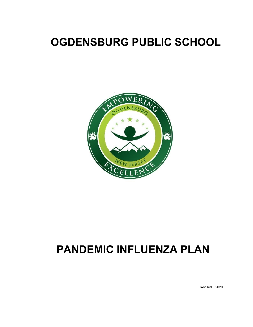# **OGDENSBURG PUBLIC SCHOOL**



# **PANDEMIC INFLUENZA PLAN**

Revised 3/2020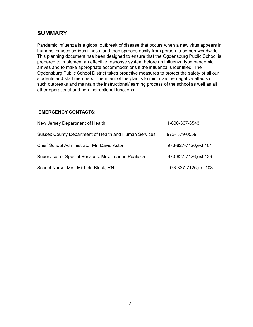### **SUMMARY**

Pandemic influenza is a global outbreak of disease that occurs when a new virus appears in humans, causes serious illness, and then spreads easily from person to person worldwide. This planning document has been designed to ensure that the Ogdensburg Public School is prepared to implement an effective response system before an influenza type pandemic arrives and to make appropriate accommodations if the influenza is identified. The Ogdensburg Public School District takes proactive measures to protect the safety of all our students and staff members. The intent of the plan is to minimize the negative effects of such outbreaks and maintain the instructional/learning process of the school as well as all other operational and non-instructional functions.

#### **EMERGENCY CONTACTS:**

| New Jersey Department of Health                       | 1-800-367-6543        |
|-------------------------------------------------------|-----------------------|
| Sussex County Department of Health and Human Services | 973-579-0559          |
| Chief School Administrator Mr. David Astor            | 973-827-7126, ext 101 |
| Supervisor of Special Services: Mrs. Leanne Poalazzi  | 973-827-7126, ext 126 |
| School Nurse: Mrs. Michele Block, RN                  | 973-827-7126, ext 103 |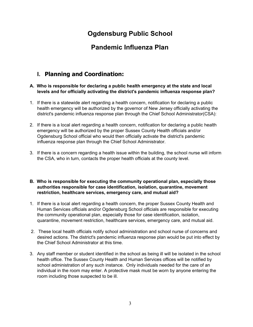## **Ogdensburg Public School**

## **Pandemic Influenza Plan**

## **I. Planning and Coordination:**

#### **A. Who is responsible for declaring a public health emergency at the state and local levels and for officially activating the district's pandemic influenza response plan?**

- 1. If there is a statewide alert regarding a health concern, notification for declaring a public health emergency will be authorized by the governor of New Jersey officially activating the district's pandemic influenza response plan through the Chief School Administrator(CSA):
- 2. If there is a local alert regarding a health concern, notification for declaring a public health emergency will be authorized by the proper Sussex County Health officials and/or Ogdensburg School official who would then officially activate the district's pandemic influenza response plan through the Chief School Administrator.
- 3. If there is a concern regarding a health issue within the building, the school nurse will inform the CSA, who in turn, contacts the proper health officials at the county level.

#### **B. Who is responsible for executing the community operational plan, especially those authorities responsible for case identification, isolation, quarantine, movement restriction, healthcare services, emergency care, and mutual aid?**

- 1. If there is a local alert regarding a health concern, the proper Sussex County Health and Human Services officials and/or Ogdensburg School officials are responsible for executing the community operational plan, especially those for case identification, isolation, quarantine, movement restriction, healthcare services, emergency care, and mutual aid.
- 2. These local health officials notify school administration and school nurse of concerns and desired actions. The district's pandemic influenza response plan would be put into effect by the Chief School Administrator at this time.
- 3. Any staff member or student identified in the school as being ill will be isolated in the school health office. The Sussex County Health and Human Services offices will be notified by school administration of any such instance. Only individuals needed for the care of an individual in the room may enter. A protective mask must be worn by anyone entering the room including those suspected to be ill.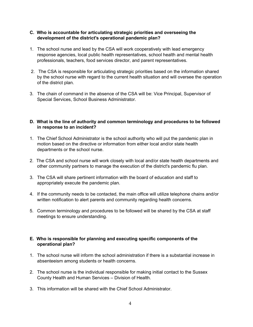#### **C. Who is accountable for articulating strategic priorities and overseeing the development of the district's operational pandemic plan?**

- 1. The school nurse and lead by the CSA will work cooperatively with lead emergency response agencies, local public health representatives, school health and mental health professionals, teachers, food services director, and parent representatives.
- 2. The CSA is responsible for articulating strategic priorities based on the information shared by the school nurse with regard to the current health situation and will oversee the operation of the district plan.
- 3. The chain of command in the absence of the CSA will be: Vice Principal, Supervisor of Special Services, School Business Administrator.

#### **D. What is the line of authority and common terminology and procedures to be followed in response to an incident?**

- 1. The Chief School Administrator is the school authority who will put the pandemic plan in motion based on the directive or information from either local and/or state health departments or the school nurse.
- 2. The CSA and school nurse will work closely with local and/or state health departments and other community partners to manage the execution of the district's pandemic flu plan.
- 3. The CSA will share pertinent information with the board of education and staff to appropriately execute the pandemic plan.
- 4. If the community needs to be contacted, the main office will utilize telephone chains and/or written notification to alert parents and community regarding health concerns.
- 5. Common terminology and procedures to be followed will be shared by the CSA at staff meetings to ensure understanding.

#### **E. Who is responsible for planning and executing specific components of the operational plan?**

- 1. The school nurse will inform the school administration if there is a substantial increase in absenteeism among students or health concerns.
- 2. The school nurse is the individual responsible for making initial contact to the Sussex County Health and Human Services – Division of Health.
- 3. This information will be shared with the Chief School Administrator.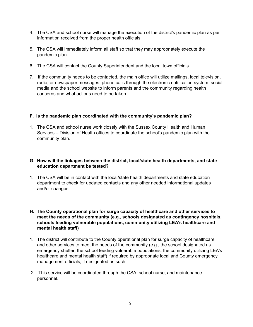- 4. The CSA and school nurse will manage the execution of the district's pandemic plan as per information received from the proper health officials.
- 5. The CSA will immediately inform all staff so that they may appropriately execute the pandemic plan.
- 6. The CSA will contact the County Superintendent and the local town officials.
- 7. If the community needs to be contacted, the main office will utilize mailings, local television, radio, or newspaper messages, phone calls through the electronic notification system, social media and the school website to inform parents and the community regarding health concerns and what actions need to be taken.

#### **F. Is the pandemic plan coordinated with the community's pandemic plan?**

1. The CSA and school nurse work closely with the Sussex County Health and Human Services – Division of Health offices to coordinate the school's pandemic plan with the community plan.

#### **G. How will the linkages between the district, local/state health departments, and state education department be tested?**

- 1. The CSA will be in contact with the local/state health departments and state education department to check for updated contacts and any other needed informational updates and/or changes.
- **H. The County operational plan for surge capacity of healthcare and other services to meet the needs of the community (e.g., schools designated as contingency hospitals, schools feeding vulnerable populations, community utilizing LEA's healthcare and mental health staff)**
- 1. The district will contribute to the County operational plan for surge capacity of healthcare and other services to meet the needs of the community (e.g., the school designated as emergency shelter, the school feeding vulnerable populations, the community utilizing LEA's healthcare and mental health staff) if required by appropriate local and County emergency management officials, if designated as such.
- 2. This service will be coordinated through the CSA, school nurse, and maintenance personnel.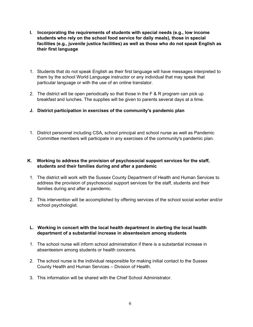- **I. Incorporating the requirements of students with special needs (e.g., low income students who rely on the school food service for daily meals), those in special facilities (e.g., juvenile justice facilities) as well as those who do not speak English as their first language**
- 1. Students that do not speak English as their first language will have messages interpreted to them by the school World Language instructor or any individual that may speak that particular language or with the use of an online translator.
- 2. The district will be open periodically so that those in the F & R program can pick up breakfast and lunches. The supplies will be given to parents several days at a time.
- **J. District participation in exercises of the community's pandemic plan**
- 1. District personnel including CSA, school principal and school nurse as well as Pandemic Committee members will participate in any exercises of the community's pandemic plan.

#### **K. Working to address the provision of psychosocial support services for the staff, students and their families during and after a pandemic**

- 1. The district will work with the Sussex County Department of Health and Human Services to address the provision of psychosocial support services for the staff, students and their families during and after a pandemic.
- 2. This intervention will be accomplished by offering services of the school social worker and/or school psychologist.

#### **L. Working in concert with the local health department in alerting the local health department of a substantial increase in absenteeism among students**

- 1. The school nurse will inform school administration if there is a substantial increase in absenteeism among students or health concerns.
- 2. The school nurse is the individual responsible for making initial contact to the Sussex County Health and Human Services – Division of Health.
- 3. This information will be shared with the Chief School Administrator.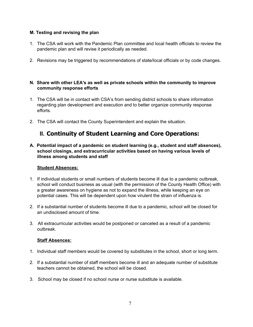#### **M. Testing and revising the plan**

- 1. The CSA will work with the Pandemic Plan committee and local health officials to review the pandemic plan and will revise it periodically as needed.
- 2. Revisions may be triggered by recommendations of state/local officials or by code changes.

#### **N. Share with other LEA's as well as private schools within the community to improve community response efforts**

- 1. The CSA will be in contact with CSA's from sending district schools to share information regarding plan development and execution and to better organize community response efforts.
- 2. The CSA will contact the County Superintendent and explain the situation.

### **II. Continuity of Student Learning and Core Operations:**

**A. Potential impact of a pandemic on student learning (e.g., student and staff absences), school closings, and extracurricular activities based on having various levels of illness among students and staff**

#### **Student Absences:**

- 1. If individual students or small numbers of students become ill due to a pandemic outbreak, school will conduct business as usual (with the permission of the County Health Office) with a greater awareness on hygiene as not to expand the illness, while keeping an eye on potential cases. This will be dependent upon how virulent the strain of influenza is.
- 2. If a substantial number of students become ill due to a pandemic, school will be closed for an undisclosed amount of time.
- 3. All extracurricular activities would be postponed or canceled as a result of a pandemic outbreak.

#### **Staff Absences:**

- 1. Individual staff members would be covered by substitutes in the school, short or long term.
- 2. If a substantial number of staff members become ill and an adequate number of substitute teachers cannot be obtained, the school will be closed.
- 3. School may be closed if no school nurse or nurse substitute is available.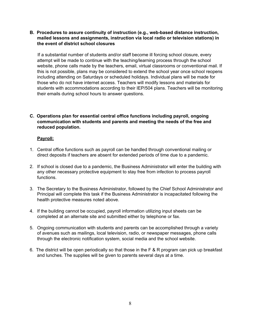#### **B. Procedures to assure continuity of instruction (e.g., web-based distance instruction, mailed lessons and assignments, instruction via local radio or television stations) in the event of district school closures**

If a substantial number of students and/or staff become ill forcing school closure, every attempt will be made to continue with the teaching/learning process through the school website, phone calls made by the teachers, email, virtual classrooms or conventional mail. If this is not possible, plans may be considered to extend the school year once school reopens including attending on Saturdays or scheduled holidays. Individual plans will be made for those who do not have internet access. Teachers will modify lessons and materials for students with accommodations according to their IEP/504 plans. Teachers will be monitoring their emails during school hours to answer questions.

#### **C. Operations plan for essential central office functions including payroll, ongoing communication with students and parents and meeting the needs of the free and reduced population.**

#### **Payroll:**

- 1. Central office functions such as payroll can be handled through conventional mailing or direct deposits if teachers are absent for extended periods of time due to a pandemic.
- 2. If school is closed due to a pandemic, the Business Administrator will enter the building with any other necessary protective equipment to stay free from infection to process payroll functions.
- 3. The Secretary to the Business Administrator, followed by the Chief School Administrator and Principal will complete this task if the Business Administrator is incapacitated following the health protective measures noted above.
- 4. If the building cannot be occupied, payroll information utilizing input sheets can be completed at an alternate site and submitted either by telephone or fax.
- 5. Ongoing communication with students and parents can be accomplished through a variety of avenues such as mailings, local television, radio, or newspaper messages, phone calls through the electronic notification system, social media and the school website.
- 6. The district will be open periodically so that those in the F & R program can pick up breakfast and lunches. The supplies will be given to parents several days at a time.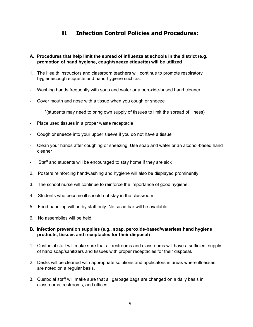## **III. Infection Control Policies and Procedures:**

#### **A. Procedures that help limit the spread of influenza at schools in the district (e.g. promotion of hand hygiene, cough/sneeze etiquette) will be utilized**

- 1. The Health instructors and classroom teachers will continue to promote respiratory hygiene/cough etiquette and hand hygiene such as:
- Washing hands frequently with soap and water or a peroxide-based hand cleaner
- Cover mouth and nose with a tissue when you cough or sneeze

\*(students may need to bring own supply of tissues to limit the spread of illness)

- Place used tissues in a proper waste receptacle
- Cough or sneeze into your upper sleeve if you do not have a tissue
- Clean your hands after coughing or sneezing. Use soap and water or an alcohol-based hand cleaner
- Staff and students will be encouraged to stay home if they are sick
- 2. Posters reinforcing handwashing and hygiene will also be displayed prominently.
- 3. The school nurse will continue to reinforce the importance of good hygiene.
- 4. Students who become ill should not stay in the classroom.
- 5. Food handling will be by staff only. No salad bar will be available.
- 6. No assemblies will be held.

#### **B. Infection prevention supplies (e.g., soap, peroxide-based/waterless hand hygiene products, tissues and receptacles for their disposal)**

- 1. Custodial staff will make sure that all restrooms and classrooms will have a sufficient supply of hand soap/sanitizers and tissues with proper receptacles for their disposal.
- 2. Desks will be cleaned with appropriate solutions and applicators in areas where illnesses are noted on a regular basis.
- 3. Custodial staff will make sure that all garbage bags are changed on a daily basis in classrooms, restrooms, and offices.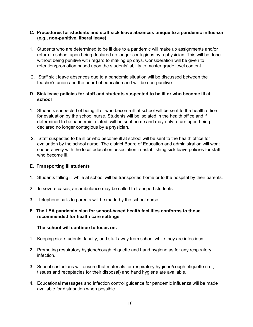#### **C. Procedures for students and staff sick leave absences unique to a pandemic influenza (e.g., non-punitive, liberal leave)**

- 1. Students who are determined to be ill due to a pandemic will make up assignments and/or return to school upon being declared no longer contagious by a physician. This will be done without being punitive with regard to making up days. Consideration will be given to retention/promotion based upon the students' ability to master grade level content.
- 2. Staff sick leave absences due to a pandemic situation will be discussed between the teacher's union and the board of education and will be non-punitive.

#### **D. Sick leave policies for staff and students suspected to be ill or who become ill at school**

- 1. Students suspected of being ill or who become ill at school will be sent to the health office for evaluation by the school nurse. Students will be isolated in the health office and if determined to be pandemic related, will be sent home and may only return upon being declared no longer contagious by a physician.
- 2. Staff suspected to be ill or who become ill at school will be sent to the health office for evaluation by the school nurse. The district Board of Education and administration will work cooperatively with the local education association in establishing sick leave policies for staff who become ill.

#### **E. Transporting ill students**

- 1. Students falling ill while at school will be transported home or to the hospital by their parents.
- 2. In severe cases, an ambulance may be called to transport students.
- 3. Telephone calls to parents will be made by the school nurse.

#### **F. The LEA pandemic plan for school-based health facilities conforms to those recommended for health care settings**

#### **The school will continue to focus on:**

- 1. Keeping sick students, faculty, and staff away from school while they are infectious.
- 2. Promoting respiratory hygiene/cough etiquette and hand hygiene as for any respiratory infection.
- 3. School custodians will ensure that materials for respiratory hygiene/cough etiquette (i.e., tissues and receptacles for their disposal) and hand hygiene are available.
- 4. Educational messages and infection control guidance for pandemic influenza will be made available for distribution when possible.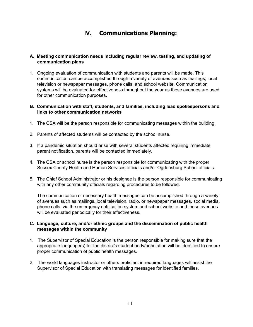## **IV. Communications Planning:**

#### **A. Meeting communication needs including regular review, testing, and updating of communication plans**

1. Ongoing evaluation of communication with students and parents will be made. This communication can be accomplished through a variety of avenues such as mailings, local television or newspaper messages, phone calls, and school website. Communication systems will be evaluated for effectiveness throughout the year as these avenues are used for other communication purposes.

#### **B. Communication with staff, students, and families, including lead spokespersons and links to other communication networks**

- 1. The CSA will be the person responsible for communicating messages within the building.
- 2. Parents of affected students will be contacted by the school nurse.
- 3. If a pandemic situation should arise with several students affected requiring immediate parent notification, parents will be contacted immediately.
- 4. The CSA or school nurse is the person responsible for communicating with the proper Sussex County Health and Human Services officials and/or Ogdensburg School officials.
- 5. The Chief School Administrator or his designee is the person responsible for communicating with any other community officials regarding procedures to be followed.

The communication of necessary health messages can be accomplished through a variety of avenues such as mailings, local television, radio, or newspaper messages, social media, phone calls, via the emergency notification system and school website and these avenues will be evaluated periodically for their effectiveness.

#### **C. Language, culture, and/or ethnic groups and the dissemination of public health messages within the community**

- 1. The Supervisor of Special Education is the person responsible for making sure that the appropriate language(s) for the district's student body/population will be identified to ensure proper communication of public health messages.
- 2. The world languages instructor or others proficient in required languages will assist the Supervisor of Special Education with translating messages for identified families.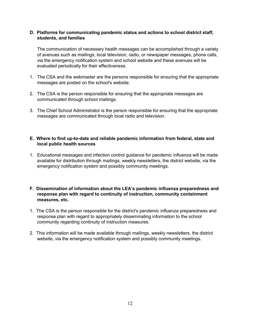#### **D. Platforms for communicating pandemic status and actions to school district staff, students, and families**

The communication of necessary health messages can be accomplished through a variety of avenues such as mailings, local television, radio, or newspaper messages, phone calls, via the emergency notification system and school website and these avenues will be evaluated periodically for their effectiveness.

- 1. The CSA and the webmaster are the persons responsible for ensuring that the appropriate messages are posted on the school's website.
- 2. The CSA is the person responsible for ensuring that the appropriate messages are communicated through school mailings.
- 3. The Chief School Administrator is the person responsible for ensuring that the appropriate messages are communicated through local radio and television.

#### **E. Where to find up-to-date and reliable pandemic information from federal, state and local public health sources**

1. Educational messages and infection control guidance for pandemic influenza will be made available for distribution through mailings, weekly newsletters, the district website, via the emergency notification system and possibly community meetings.

#### **F. Dissemination of information about the LEA's pandemic influenza preparedness and response plan with regard to continuity of instruction, community containment measures, etc.**

- 1. The CSA is the person responsible for the district's pandemic influenza preparedness and response plan with regard to appropriately disseminating information to the school community regarding continuity of instruction measures.
- 2. This information will be made available through mailings, weekly newsletters, the district website, via the emergency notification system and possibly community meetings.